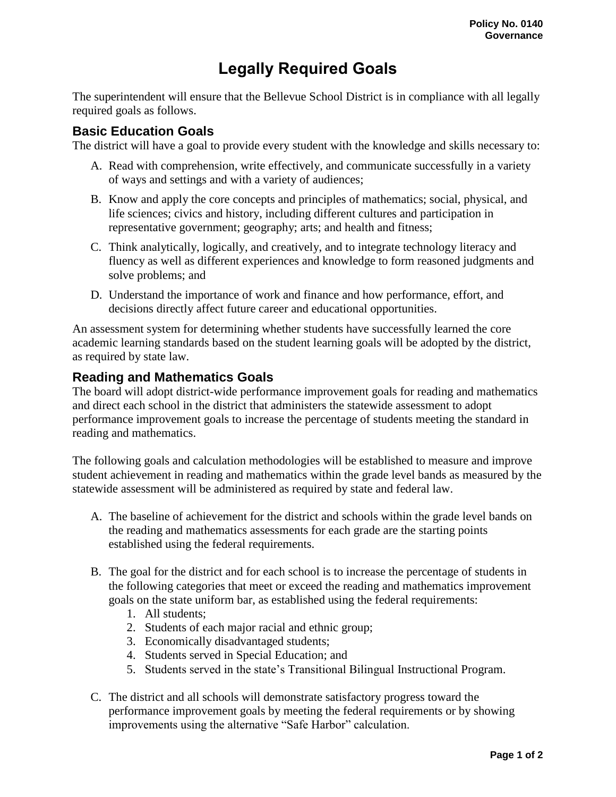## **Legally Required Goals**

The superintendent will ensure that the Bellevue School District is in compliance with all legally required goals as follows.

## **Basic Education Goals**

The district will have a goal to provide every student with the knowledge and skills necessary to:

- A. Read with comprehension, write effectively, and communicate successfully in a variety of ways and settings and with a variety of audiences;
- B. Know and apply the core concepts and principles of mathematics; social, physical, and life sciences; civics and history, including different cultures and participation in representative government; geography; arts; and health and fitness;
- C. Think analytically, logically, and creatively, and to integrate technology literacy and fluency as well as different experiences and knowledge to form reasoned judgments and solve problems; and
- D. Understand the importance of work and finance and how performance, effort, and decisions directly affect future career and educational opportunities.

An assessment system for determining whether students have successfully learned the core academic learning standards based on the student learning goals will be adopted by the district, as required by state law.

## **Reading and Mathematics Goals**

The board will adopt district-wide performance improvement goals for reading and mathematics and direct each school in the district that administers the statewide assessment to adopt performance improvement goals to increase the percentage of students meeting the standard in reading and mathematics.

The following goals and calculation methodologies will be established to measure and improve student achievement in reading and mathematics within the grade level bands as measured by the statewide assessment will be administered as required by state and federal law.

- A. The baseline of achievement for the district and schools within the grade level bands on the reading and mathematics assessments for each grade are the starting points established using the federal requirements.
- B. The goal for the district and for each school is to increase the percentage of students in the following categories that meet or exceed the reading and mathematics improvement goals on the state uniform bar, as established using the federal requirements:
	- 1. All students;
	- 2. Students of each major racial and ethnic group;
	- 3. Economically disadvantaged students;
	- 4. Students served in Special Education; and
	- 5. Students served in the state's Transitional Bilingual Instructional Program.
- C. The district and all schools will demonstrate satisfactory progress toward the performance improvement goals by meeting the federal requirements or by showing improvements using the alternative "Safe Harbor" calculation.